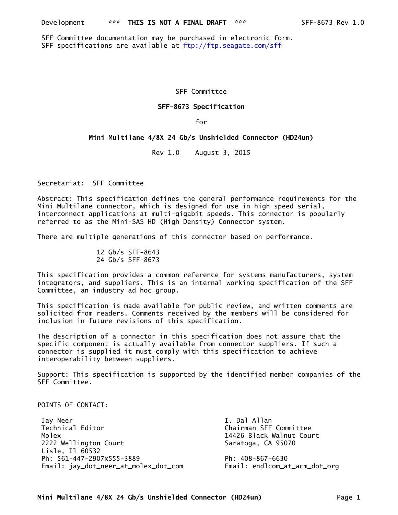SFF Committee documentation may be purchased in electronic form. SFF specifications are available at ftp://ftp.seagate.com/sff

#### SFF Committee

#### **SFF-8673 Specification**

for

#### **Mini Multilane 4/8X 24 Gb/s Unshielded Connector (HD24un)**

Rev 1.0 August 3, 2015

Secretariat: SFF Committee

Abstract: This specification defines the general performance requirements for the Mini Multilane connector, which is designed for use in high speed serial, interconnect applications at multi-gigabit speeds. This connector is popularly referred to as the Mini-SAS HD (High Density) Connector system.

There are multiple generations of this connector based on performance.

 12 Gb/s SFF-8643 24 Gb/s SFF-8673

This specification provides a common reference for systems manufacturers, system integrators, and suppliers. This is an internal working specification of the SFF Committee, an industry ad hoc group.

This specification is made available for public review, and written comments are solicited from readers. Comments received by the members will be considered for inclusion in future revisions of this specification.

The description of a connector in this specification does not assure that the specific component is actually available from connector suppliers. If such a connector is supplied it must comply with this specification to achieve interoperability between suppliers.

Support: This specification is supported by the identified member companies of the SFF Committee.

### POINTS OF CONTACT:

 Jay Neer I. Dal Allan Technical Editor Chairman SFF Committee Molex **14426 Black Walnut Court**  2222 Wellington Court Saratoga, CA 95070 Lisle, Il 60532 Ph: 561-447-2907x555-3889 Ph: 408-867-6630 Email: jay\_dot\_neer\_at\_molex\_dot\_com Email: endlcom\_at\_acm\_dot\_org

**Mini Multilane 4/8X 24 Gb/s Unshielded Connector (HD24un)** Page 1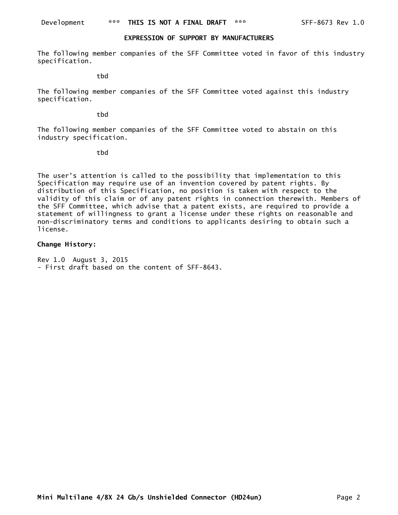#### **EXPRESSION OF SUPPORT BY MANUFACTURERS**

The following member companies of the SFF Committee voted in favor of this industry specification.

tbd

The following member companies of the SFF Committee voted against this industry specification.

tbd

The following member companies of the SFF Committee voted to abstain on this industry specification.

tbd

The user's attention is called to the possibility that implementation to this Specification may require use of an invention covered by patent rights. By distribution of this Specification, no position is taken with respect to the validity of this claim or of any patent rights in connection therewith. Members of the SFF Committee, which advise that a patent exists, are required to provide a statement of willingness to grant a license under these rights on reasonable and non-discriminatory terms and conditions to applicants desiring to obtain such a license.

### **Change History:**

Rev 1.0 August 3, 2015 - First draft based on the content of SFF-8643.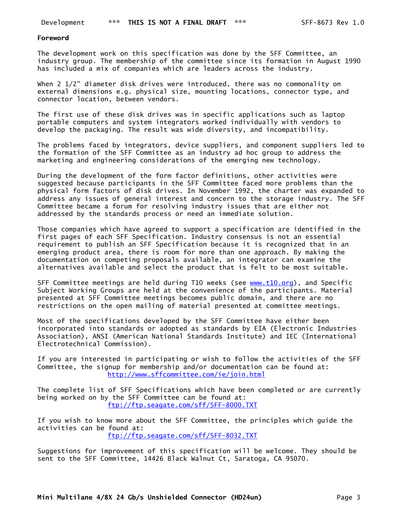#### **Foreword**

The development work on this specification was done by the SFF Committee, an industry group. The membership of the committee since its formation in August 1990 has included a mix of companies which are leaders across the industry.

When 2 1/2" diameter disk drives were introduced, there was no commonality on external dimensions e.g. physical size, mounting locations, connector type, and connector location, between vendors.

The first use of these disk drives was in specific applications such as laptop portable computers and system integrators worked individually with vendors to develop the packaging. The result was wide diversity, and incompatibility.

The problems faced by integrators, device suppliers, and component suppliers led to the formation of the SFF Committee as an industry ad hoc group to address the marketing and engineering considerations of the emerging new technology.

During the development of the form factor definitions, other activities were suggested because participants in the SFF Committee faced more problems than the physical form factors of disk drives. In November 1992, the charter was expanded to address any issues of general interest and concern to the storage industry. The SFF Committee became a forum for resolving industry issues that are either not addressed by the standards process or need an immediate solution.

Those companies which have agreed to support a specification are identified in the first pages of each SFF Specification. Industry consensus is not an essential requirement to publish an SFF Specification because it is recognized that in an emerging product area, there is room for more than one approach. By making the documentation on competing proposals available, an integrator can examine the alternatives available and select the product that is felt to be most suitable.

SFF Committee meetings are held during T10 weeks (see www.t10.org), and Specific Subject Working Groups are held at the convenience of the participants. Material presented at SFF Committee meetings becomes public domain, and there are no restrictions on the open mailing of material presented at committee meetings.

Most of the specifications developed by the SFF Committee have either been incorporated into standards or adopted as standards by EIA (Electronic Industries Association), ANSI (American National Standards Institute) and IEC (International Electrotechnical Commission).

If you are interested in participating or wish to follow the activities of the SFF Committee, the signup for membership and/or documentation can be found at: http://www.sffcommittee.com/ie/join.html

The complete list of SFF Specifications which have been completed or are currently being worked on by the SFF Committee can be found at: ftp://ftp.seagate.com/sff/SFF-8000.TXT

If you wish to know more about the SFF Committee, the principles which guide the activities can be found at: ftp://ftp.seagate.com/sff/SFF-8032.TXT

Suggestions for improvement of this specification will be welcome. They should be sent to the SFF Committee, 14426 Black Walnut Ct, Saratoga, CA 95070.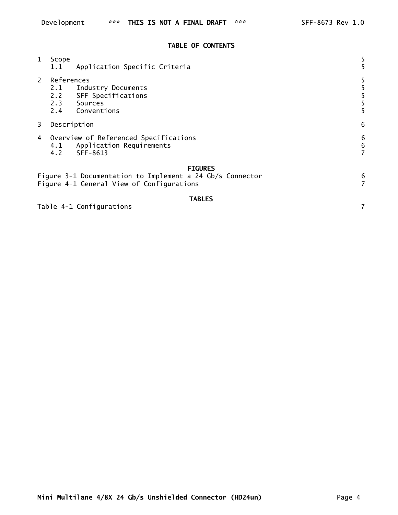### **TABLE OF CONTENTS**

| $\mathbf{1}$                                                                                     | Scope<br>1.1             | Application Specific Criteria                                              |   |  |
|--------------------------------------------------------------------------------------------------|--------------------------|----------------------------------------------------------------------------|---|--|
| $2^{\circ}$                                                                                      | References<br>2.1<br>2.2 | Industry Documents<br>SFF Specifications<br>2.3 Sources<br>2.4 Conventions |   |  |
| 3                                                                                                | Description              |                                                                            |   |  |
| Overview of Referenced Specifications<br>4<br>Application Requirements<br>4.1<br>SFF-8613<br>4.2 |                          |                                                                            |   |  |
|                                                                                                  |                          | <b>FIGURES</b>                                                             |   |  |
|                                                                                                  |                          | Figure 3-1 Documentation to Implement a 24 Gb/s Connector                  | 6 |  |

Figure 4-1 General View of Configurations 7

### **TABLES**

Table 4-1 Configurations 7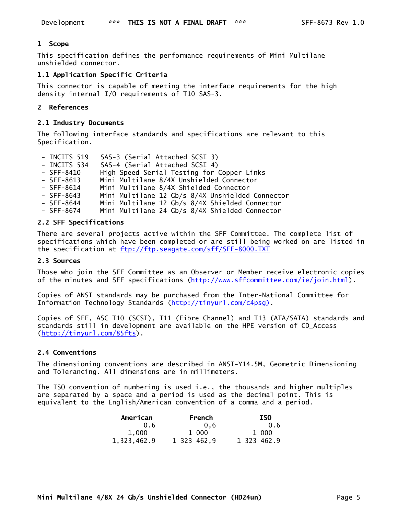### **1 Scope**

This specification defines the performance requirements of Mini Multilane unshielded connector.

## **1.1 Application Specific Criteria**

This connector is capable of meeting the interface requirements for the high density internal I/O requirements of T10 SAS-3.

### **2 References**

#### **2.1 Industry Documents**

The following interface standards and specifications are relevant to this Specification.

- INCITS 519 SAS-3 (Serial Attached SCSI 3)
- INCITS 534 SAS-4 (Serial Attached SCSI 4)
- SFF-8410 High Speed Serial Testing for Copper Links
- SFF-8613 Mini Multilane 8/4X Unshielded Connector
- SFF-8614 Mini Multilane 8/4X Shielded Connector
- SFF-8643 Mini Multilane 12 Gb/s 8/4X Unshielded Connector
- SFF-8644 Mini Multilane 12 Gb/s 8/4X Shielded Connector
- SFF-8674 Mini Multilane 24 Gb/s 8/4X Shielded Connector

### **2.2 SFF Specifications**

There are several projects active within the SFF Committee. The complete list of specifications which have been completed or are still being worked on are listed in the specification at ftp://ftp.seagate.com/sff/SFF-8000.TXT

#### **2.3 Sources**

Those who join the SFF Committee as an Observer or Member receive electronic copies of the minutes and SFF specifications (http://www.sffcommittee.com/ie/join.html).

Copies of ANSI standards may be purchased from the Inter-National Committee for Information Technology Standards (http://tinyurl.com/c4psg).

Copies of SFF, ASC T10 (SCSI), T11 (Fibre Channel) and T13 (ATA/SATA) standards and standards still in development are available on the HPE version of CD\_Access (http://tinyurl.com/85fts).

### **2.4 Conventions**

The dimensioning conventions are described in ANSI-Y14.5M, Geometric Dimensioning and Tolerancing. All dimensions are in millimeters.

The ISO convention of numbering is used i.e., the thousands and higher multiples are separated by a space and a period is used as the decimal point. This is equivalent to the English/American convention of a comma and a period.

| American    | French      | <b>ISO</b>  |
|-------------|-------------|-------------|
| 0.6         | 0.6         | 0.6         |
| 1.000       | 1 000       | 1 000       |
| 1,323,462.9 | 1 323 462,9 | 1 323 462.9 |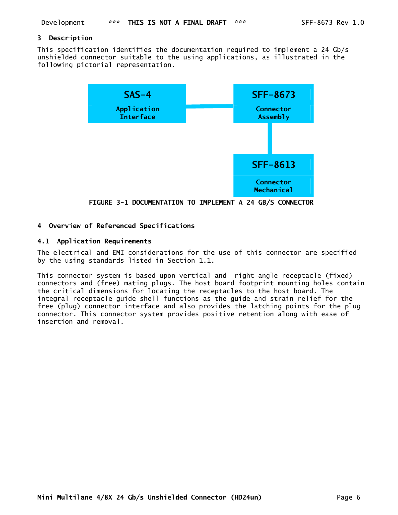### **3 Description**

This specification identifies the documentation required to implement a 24 Gb/s unshielded connector suitable to the using applications, as illustrated in the following pictorial representation.



**FIGURE 3-1 DOCUMENTATION TO IMPLEMENT A 24 GB/S CONNECTOR** 

### **4 Overview of Referenced Specifications**

## **4.1 Application Requirements**

The electrical and EMI considerations for the use of this connector are specified by the using standards listed in Section 1.1.

This connector system is based upon vertical and right angle receptacle (fixed) connectors and (free) mating plugs. The host board footprint mounting holes contain the critical dimensions for locating the receptacles to the host board. The integral receptacle guide shell functions as the guide and strain relief for the free (plug) connector interface and also provides the latching points for the plug connector. This connector system provides positive retention along with ease of insertion and removal.